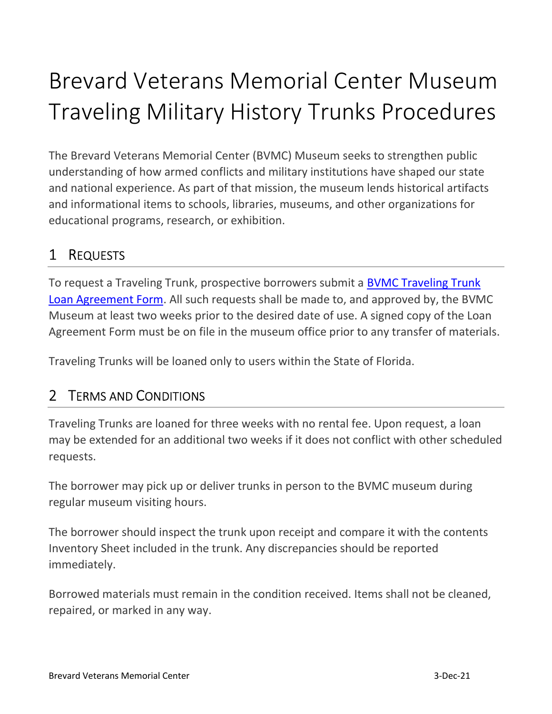# Brevard Veterans Memorial Center Museum Traveling Military History Trunks Procedures

The Brevard Veterans Memorial Center (BVMC) Museum seeks to strengthen public understanding of how armed conflicts and military institutions have shaped our state and national experience. As part of that mission, the museum lends historical artifacts and informational items to schools, libraries, museums, and other organizations for educational programs, research, or exhibition.

## 1 REQUESTS

To request a Traveling Trunk, prospective borrowers submit a BVMC Traveling Trunk Loan Agreement Form. All such requests shall be made to, and approved by, the BVMC Museum at least two weeks prior to the desired date of use. A signed copy of the Loan Agreement Form must be on file in the museum office prior to any transfer of materials.

Traveling Trunks will be loaned only to users within the State of Florida.

#### 2 TERMS AND CONDITIONS

Traveling Trunks are loaned for three weeks with no rental fee. Upon request, a loan may be extended for an additional two weeks if it does not conflict with other scheduled requests.

The borrower may pick up or deliver trunks in person to the BVMC museum during regular museum visiting hours.

The borrower should inspect the trunk upon receipt and compare it with the contents Inventory Sheet included in the trunk. Any discrepancies should be reported immediately.

Borrowed materials must remain in the condition received. Items shall not be cleaned, repaired, or marked in any way.